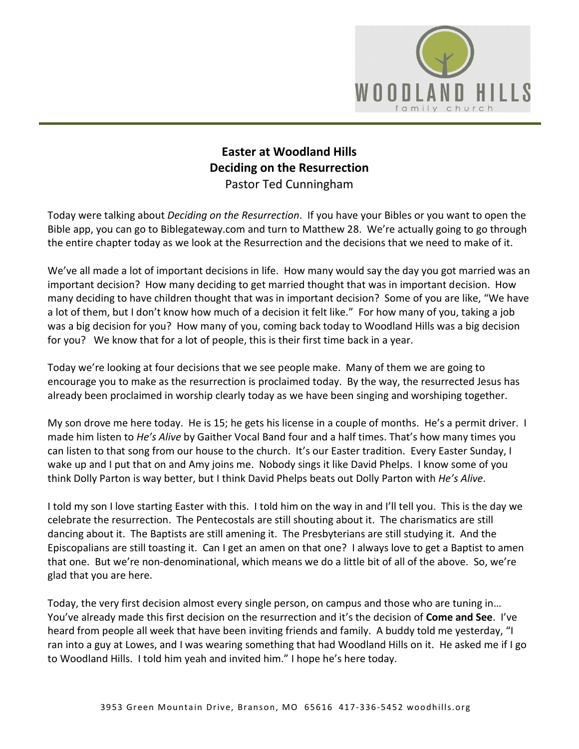

## **Easter at Woodland Hills Deciding on the Resurrection** Pastor Ted Cunningham

Today were talking about *Deciding on the Resurrection*. If you have your Bibles or you want to open the Bible app, you can go to Biblegateway.com and turn to Matthew 28. We're actually going to go through the entire chapter today as we look at the Resurrection and the decisions that we need to make of it.

We've all made a lot of important decisions in life. How many would say the day you got married was an important decision? How many deciding to get married thought that was in important decision. How many deciding to have children thought that was in important decision? Some of you are like, "We have a lot of them, but I don't know how much of a decision it felt like." For how many of you, taking a job was a big decision for you? How many of you, coming back today to Woodland Hills was a big decision for you? We know that for a lot of people, this is their first time back in a year.

Today we're looking at four decisions that we see people make. Many of them we are going to encourage you to make as the resurrection is proclaimed today. By the way, the resurrected Jesus has already been proclaimed in worship clearly today as we have been singing and worshiping together.

My son drove me here today. He is 15; he gets his license in a couple of months. He's a permit driver. I made him listen to *He's Alive* by Gaither Vocal Band four and a half times. That's how many times you can listen to that song from our house to the church. It's our Easter tradition. Every Easter Sunday, I wake up and I put that on and Amy joins me. Nobody sings it like David Phelps. I know some of you think Dolly Parton is way better, but I think David Phelps beats out Dolly Parton with *He's Alive*.

I told my son I love starting Easter with this. I told him on the way in and I'll tell you. This is the day we celebrate the resurrection. The Pentecostals are still shouting about it. The charismatics are still dancing about it. The Baptists are still amening it. The Presbyterians are still studying it. And the Episcopalians are still toasting it. Can I get an amen on that one? I always love to get a Baptist to amen that one. But we're non-denominational, which means we do a little bit of all of the above. So, we're glad that you are here.

Today, the very first decision almost every single person, on campus and those who are tuning in… You've already made this first decision on the resurrection and it's the decision of **Come and See**. I've heard from people all week that have been inviting friends and family. A buddy told me yesterday, "I ran into a guy at Lowes, and I was wearing something that had Woodland Hills on it. He asked me if I go to Woodland Hills. I told him yeah and invited him." I hope he's here today.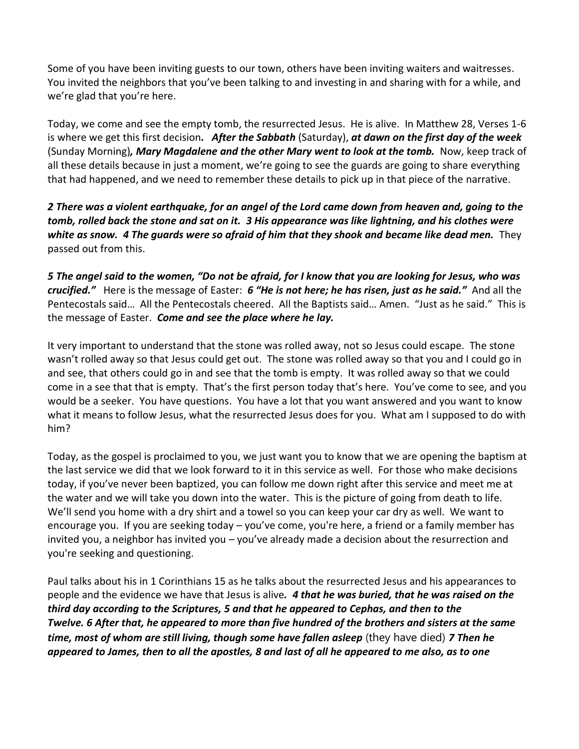Some of you have been inviting guests to our town, others have been inviting waiters and waitresses. You invited the neighbors that you've been talking to and investing in and sharing with for a while, and we're glad that you're here.

Today, we come and see the empty tomb, the resurrected Jesus. He is alive. In Matthew 28, Verses 1-6 is where we get this first decision*. After the Sabbath* (Saturday), *at dawn on the first day of the week* (Sunday Morning)*, Mary Magdalene and the other Mary went to look at the tomb.* Now, keep track of all these details because in just a moment, we're going to see the guards are going to share everything that had happened, and we need to remember these details to pick up in that piece of the narrative.

*2 There was a violent earthquake, for an angel of the Lord came down from heaven and, going to the tomb, rolled back the stone and sat on it. 3 His appearance was like lightning, and his clothes were white as snow. 4 The guards were so afraid of him that they shook and became like dead men.* They passed out from this.

*5 The angel said to the women, "Do not be afraid, for I know that you are looking for Jesus, who was crucified."* Here is the message of Easter: *6 "He is not here; he has risen, just as he said."* And all the Pentecostals said… All the Pentecostals cheered. All the Baptists said… Amen. "Just as he said." This is the message of Easter. *Come and see the place where he lay.*

It very important to understand that the stone was rolled away, not so Jesus could escape. The stone wasn't rolled away so that Jesus could get out. The stone was rolled away so that you and I could go in and see, that others could go in and see that the tomb is empty. It was rolled away so that we could come in a see that that is empty. That's the first person today that's here. You've come to see, and you would be a seeker. You have questions. You have a lot that you want answered and you want to know what it means to follow Jesus, what the resurrected Jesus does for you. What am I supposed to do with him?

Today, as the gospel is proclaimed to you, we just want you to know that we are opening the baptism at the last service we did that we look forward to it in this service as well. For those who make decisions today, if you've never been baptized, you can follow me down right after this service and meet me at the water and we will take you down into the water. This is the picture of going from death to life. We'll send you home with a dry shirt and a towel so you can keep your car dry as well. We want to encourage you. If you are seeking today – you've come, you're here, a friend or a family member has invited you, a neighbor has invited you – you've already made a decision about the resurrection and you're seeking and questioning.

Paul talks about his in 1 Corinthians 15 as he talks about the resurrected Jesus and his appearances to people and the evidence we have that Jesus is alive*. 4 that he was buried, that he was raised on the third day according to the Scriptures, 5 and that he appeared to Cephas, and then to the Twelve. 6 After that, he appeared to more than five hundred of the brothers and sisters at the same time, most of whom are still living, though some have fallen asleep* (they have died) *7 Then he appeared to James, then to all the apostles, 8 and last of all he appeared to me also, as to one*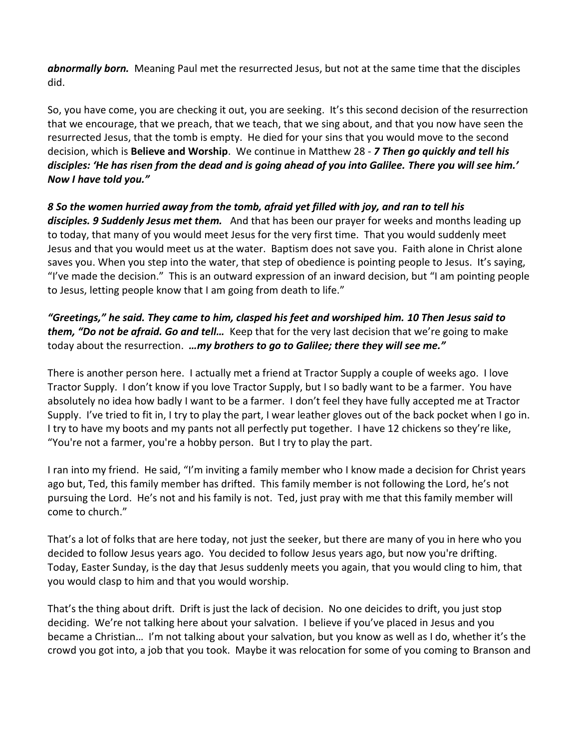*abnormally born.* Meaning Paul met the resurrected Jesus, but not at the same time that the disciples did.

So, you have come, you are checking it out, you are seeking. It's this second decision of the resurrection that we encourage, that we preach, that we teach, that we sing about, and that you now have seen the resurrected Jesus, that the tomb is empty. He died for your sins that you would move to the second decision, which is **Believe and Worship**. We continue in Matthew 28 - *7 Then go quickly and tell his disciples: 'He has risen from the dead and is going ahead of you into Galilee. There you will see him.' Now I have told you."*

*8 So the women hurried away from the tomb, afraid yet filled with joy, and ran to tell his disciples. 9 Suddenly Jesus met them.* And that has been our prayer for weeks and months leading up to today, that many of you would meet Jesus for the very first time. That you would suddenly meet Jesus and that you would meet us at the water. Baptism does not save you. Faith alone in Christ alone saves you. When you step into the water, that step of obedience is pointing people to Jesus. It's saying, "I've made the decision." This is an outward expression of an inward decision, but "I am pointing people to Jesus, letting people know that I am going from death to life."

*"Greetings," he said. They came to him, clasped his feet and worshiped him. 10 Then Jesus said to them, "Do not be afraid. Go and tell...* Keep that for the very last decision that we're going to make today about the resurrection. *…my brothers to go to Galilee; there they will see me."*

There is another person here. I actually met a friend at Tractor Supply a couple of weeks ago. I love Tractor Supply. I don't know if you love Tractor Supply, but I so badly want to be a farmer. You have absolutely no idea how badly I want to be a farmer. I don't feel they have fully accepted me at Tractor Supply. I've tried to fit in, I try to play the part, I wear leather gloves out of the back pocket when I go in. I try to have my boots and my pants not all perfectly put together. I have 12 chickens so they're like, "You're not a farmer, you're a hobby person. But I try to play the part.

I ran into my friend. He said, "I'm inviting a family member who I know made a decision for Christ years ago but, Ted, this family member has drifted. This family member is not following the Lord, he's not pursuing the Lord. He's not and his family is not. Ted, just pray with me that this family member will come to church."

That's a lot of folks that are here today, not just the seeker, but there are many of you in here who you decided to follow Jesus years ago. You decided to follow Jesus years ago, but now you're drifting. Today, Easter Sunday, is the day that Jesus suddenly meets you again, that you would cling to him, that you would clasp to him and that you would worship.

That's the thing about drift. Drift is just the lack of decision. No one deicides to drift, you just stop deciding. We're not talking here about your salvation. I believe if you've placed in Jesus and you became a Christian… I'm not talking about your salvation, but you know as well as I do, whether it's the crowd you got into, a job that you took. Maybe it was relocation for some of you coming to Branson and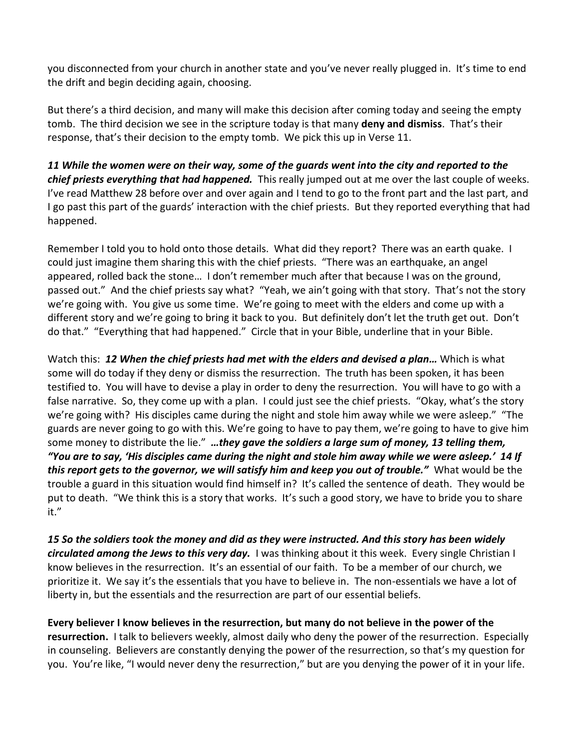you disconnected from your church in another state and you've never really plugged in. It's time to end the drift and begin deciding again, choosing.

But there's a third decision, and many will make this decision after coming today and seeing the empty tomb. The third decision we see in the scripture today is that many **deny and dismiss**. That's their response, that's their decision to the empty tomb. We pick this up in Verse 11.

*11 While the women were on their way, some of the guards went into the city and reported to the chief priests everything that had happened.* This really jumped out at me over the last couple of weeks. I've read Matthew 28 before over and over again and I tend to go to the front part and the last part, and I go past this part of the guards' interaction with the chief priests. But they reported everything that had happened.

Remember I told you to hold onto those details. What did they report? There was an earth quake. I could just imagine them sharing this with the chief priests. "There was an earthquake, an angel appeared, rolled back the stone… I don't remember much after that because I was on the ground, passed out." And the chief priests say what? "Yeah, we ain't going with that story. That's not the story we're going with. You give us some time. We're going to meet with the elders and come up with a different story and we're going to bring it back to you. But definitely don't let the truth get out. Don't do that." "Everything that had happened." Circle that in your Bible, underline that in your Bible.

Watch this: *12 When the chief priests had met with the elders and devised a plan…* Which is what some will do today if they deny or dismiss the resurrection. The truth has been spoken, it has been testified to. You will have to devise a play in order to deny the resurrection. You will have to go with a false narrative. So, they come up with a plan. I could just see the chief priests. "Okay, what's the story we're going with? His disciples came during the night and stole him away while we were asleep." "The guards are never going to go with this. We're going to have to pay them, we're going to have to give him some money to distribute the lie." *…they gave the soldiers a large sum of money, 13 telling them, "You are to say, 'His disciples came during the night and stole him away while we were asleep.' 14 If this report gets to the governor, we will satisfy him and keep you out of trouble."* What would be the trouble a guard in this situation would find himself in? It's called the sentence of death. They would be put to death. "We think this is a story that works. It's such a good story, we have to bride you to share it."

*15 So the soldiers took the money and did as they were instructed. And this story has been widely circulated among the Jews to this very day.* I was thinking about it this week. Every single Christian I know believes in the resurrection. It's an essential of our faith. To be a member of our church, we prioritize it. We say it's the essentials that you have to believe in. The non-essentials we have a lot of liberty in, but the essentials and the resurrection are part of our essential beliefs.

**Every believer I know believes in the resurrection, but many do not believe in the power of the resurrection.** I talk to believers weekly, almost daily who deny the power of the resurrection. Especially in counseling. Believers are constantly denying the power of the resurrection, so that's my question for you. You're like, "I would never deny the resurrection," but are you denying the power of it in your life.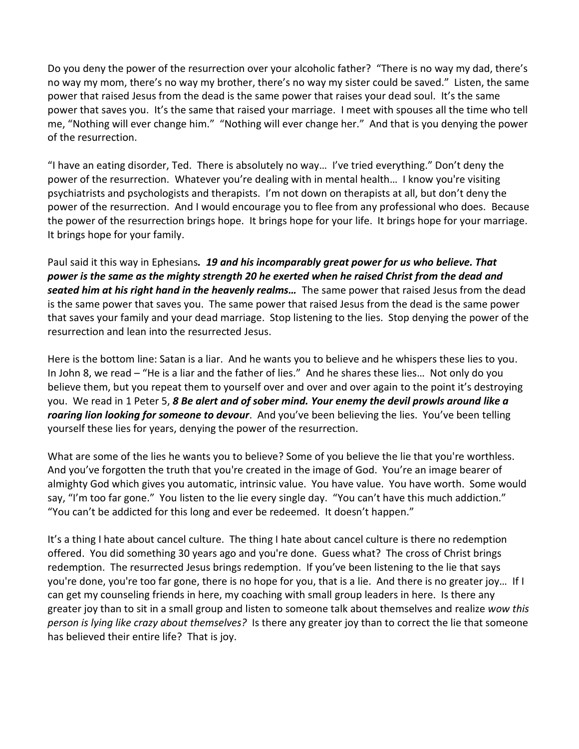Do you deny the power of the resurrection over your alcoholic father? "There is no way my dad, there's no way my mom, there's no way my brother, there's no way my sister could be saved." Listen, the same power that raised Jesus from the dead is the same power that raises your dead soul. It's the same power that saves you. It's the same that raised your marriage. I meet with spouses all the time who tell me, "Nothing will ever change him." "Nothing will ever change her." And that is you denying the power of the resurrection.

"I have an eating disorder, Ted. There is absolutely no way… I've tried everything." Don't deny the power of the resurrection. Whatever you're dealing with in mental health… I know you're visiting psychiatrists and psychologists and therapists. I'm not down on therapists at all, but don't deny the power of the resurrection. And I would encourage you to flee from any professional who does. Because the power of the resurrection brings hope. It brings hope for your life. It brings hope for your marriage. It brings hope for your family.

Paul said it this way in Ephesians*. 19 and his incomparably great power for us who believe. That power is the same as the mighty strength 20 he exerted when he raised Christ from the dead and seated him at his right hand in the heavenly realms…* The same power that raised Jesus from the dead is the same power that saves you. The same power that raised Jesus from the dead is the same power that saves your family and your dead marriage. Stop listening to the lies. Stop denying the power of the resurrection and lean into the resurrected Jesus.

Here is the bottom line: Satan is a liar. And he wants you to believe and he whispers these lies to you. In John 8, we read – "He is a liar and the father of lies." And he shares these lies… Not only do you believe them, but you repeat them to yourself over and over and over again to the point it's destroying you. We read in 1 Peter 5, *8 Be alert and of sober mind. Your enemy the devil prowls around like a roaring lion looking for someone to devour*. And you've been believing the lies. You've been telling yourself these lies for years, denying the power of the resurrection.

What are some of the lies he wants you to believe? Some of you believe the lie that you're worthless. And you've forgotten the truth that you're created in the image of God. You're an image bearer of almighty God which gives you automatic, intrinsic value. You have value. You have worth. Some would say, "I'm too far gone." You listen to the lie every single day. "You can't have this much addiction." "You can't be addicted for this long and ever be redeemed. It doesn't happen."

It's a thing I hate about cancel culture. The thing I hate about cancel culture is there no redemption offered. You did something 30 years ago and you're done. Guess what? The cross of Christ brings redemption. The resurrected Jesus brings redemption. If you've been listening to the lie that says you're done, you're too far gone, there is no hope for you, that is a lie. And there is no greater joy… If I can get my counseling friends in here, my coaching with small group leaders in here. Is there any greater joy than to sit in a small group and listen to someone talk about themselves and realize *wow this person is lying like crazy about themselves?* Is there any greater joy than to correct the lie that someone has believed their entire life? That is joy.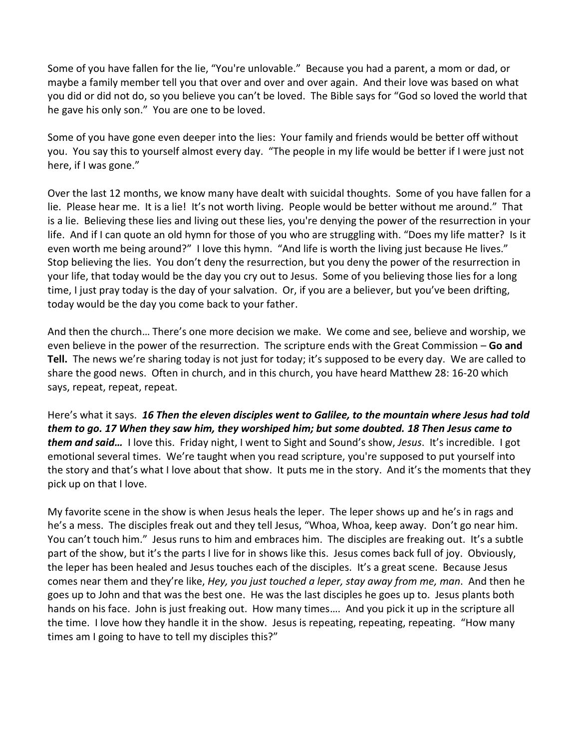Some of you have fallen for the lie, "You're unlovable." Because you had a parent, a mom or dad, or maybe a family member tell you that over and over and over again. And their love was based on what you did or did not do, so you believe you can't be loved. The Bible says for "God so loved the world that he gave his only son." You are one to be loved.

Some of you have gone even deeper into the lies: Your family and friends would be better off without you. You say this to yourself almost every day. "The people in my life would be better if I were just not here, if I was gone."

Over the last 12 months, we know many have dealt with suicidal thoughts. Some of you have fallen for a lie. Please hear me. It is a lie! It's not worth living. People would be better without me around." That is a lie. Believing these lies and living out these lies, you're denying the power of the resurrection in your life. And if I can quote an old hymn for those of you who are struggling with. "Does my life matter? Is it even worth me being around?" I love this hymn. "And life is worth the living just because He lives." Stop believing the lies. You don't deny the resurrection, but you deny the power of the resurrection in your life, that today would be the day you cry out to Jesus. Some of you believing those lies for a long time, I just pray today is the day of your salvation. Or, if you are a believer, but you've been drifting, today would be the day you come back to your father.

And then the church… There's one more decision we make. We come and see, believe and worship, we even believe in the power of the resurrection. The scripture ends with the Great Commission – **Go and Tell.** The news we're sharing today is not just for today; it's supposed to be every day. We are called to share the good news. Often in church, and in this church, you have heard Matthew 28: 16-20 which says, repeat, repeat, repeat.

Here's what it says. *16 Then the eleven disciples went to Galilee, to the mountain where Jesus had told them to go. 17 When they saw him, they worshiped him; but some doubted. 18 Then Jesus came to them and said…* I love this. Friday night, I went to Sight and Sound's show, *Jesus*. It's incredible. I got emotional several times. We're taught when you read scripture, you're supposed to put yourself into the story and that's what I love about that show. It puts me in the story. And it's the moments that they pick up on that I love.

My favorite scene in the show is when Jesus heals the leper. The leper shows up and he's in rags and he's a mess. The disciples freak out and they tell Jesus, "Whoa, Whoa, keep away. Don't go near him. You can't touch him." Jesus runs to him and embraces him. The disciples are freaking out. It's a subtle part of the show, but it's the parts I live for in shows like this. Jesus comes back full of joy. Obviously, the leper has been healed and Jesus touches each of the disciples. It's a great scene. Because Jesus comes near them and they're like, *Hey, you just touched a leper, stay away from me, man*. And then he goes up to John and that was the best one. He was the last disciples he goes up to. Jesus plants both hands on his face. John is just freaking out. How many times…. And you pick it up in the scripture all the time. I love how they handle it in the show. Jesus is repeating, repeating, repeating. "How many times am I going to have to tell my disciples this?"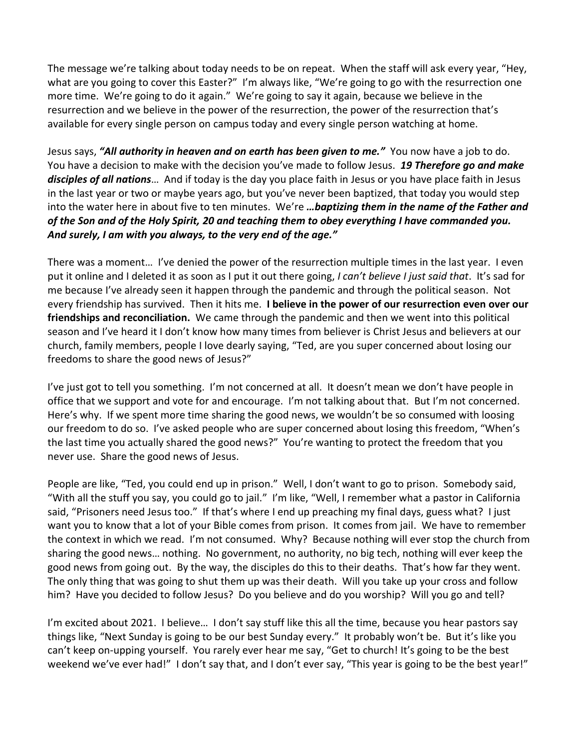The message we're talking about today needs to be on repeat. When the staff will ask every year, "Hey, what are you going to cover this Easter?" I'm always like, "We're going to go with the resurrection one more time. We're going to do it again." We're going to say it again, because we believe in the resurrection and we believe in the power of the resurrection, the power of the resurrection that's available for every single person on campus today and every single person watching at home.

Jesus says, *"All authority in heaven and on earth has been given to me."* You now have a job to do. You have a decision to make with the decision you've made to follow Jesus. *19 Therefore go and make disciples of all nations*… And if today is the day you place faith in Jesus or you have place faith in Jesus in the last year or two or maybe years ago, but you've never been baptized, that today you would step into the water here in about five to ten minutes. We're *…baptizing them in the name of the Father and of the Son and of the Holy Spirit, 20 and teaching them to obey everything I have commanded you. And surely, I am with you always, to the very end of the age."*

There was a moment… I've denied the power of the resurrection multiple times in the last year. I even put it online and I deleted it as soon as I put it out there going, *I can't believe I just said that*. It's sad for me because I've already seen it happen through the pandemic and through the political season. Not every friendship has survived. Then it hits me. **I believe in the power of our resurrection even over our friendships and reconciliation.** We came through the pandemic and then we went into this political season and I've heard it I don't know how many times from believer is Christ Jesus and believers at our church, family members, people I love dearly saying, "Ted, are you super concerned about losing our freedoms to share the good news of Jesus?"

I've just got to tell you something. I'm not concerned at all. It doesn't mean we don't have people in office that we support and vote for and encourage. I'm not talking about that. But I'm not concerned. Here's why. If we spent more time sharing the good news, we wouldn't be so consumed with loosing our freedom to do so. I've asked people who are super concerned about losing this freedom, "When's the last time you actually shared the good news?" You're wanting to protect the freedom that you never use. Share the good news of Jesus.

People are like, "Ted, you could end up in prison." Well, I don't want to go to prison. Somebody said, "With all the stuff you say, you could go to jail." I'm like, "Well, I remember what a pastor in California said, "Prisoners need Jesus too." If that's where I end up preaching my final days, guess what? I just want you to know that a lot of your Bible comes from prison. It comes from jail. We have to remember the context in which we read. I'm not consumed. Why? Because nothing will ever stop the church from sharing the good news… nothing. No government, no authority, no big tech, nothing will ever keep the good news from going out. By the way, the disciples do this to their deaths. That's how far they went. The only thing that was going to shut them up was their death. Will you take up your cross and follow him? Have you decided to follow Jesus? Do you believe and do you worship? Will you go and tell?

I'm excited about 2021. I believe… I don't say stuff like this all the time, because you hear pastors say things like, "Next Sunday is going to be our best Sunday every." It probably won't be. But it's like you can't keep on-upping yourself. You rarely ever hear me say, "Get to church! It's going to be the best weekend we've ever had!" I don't say that, and I don't ever say, "This year is going to be the best year!"